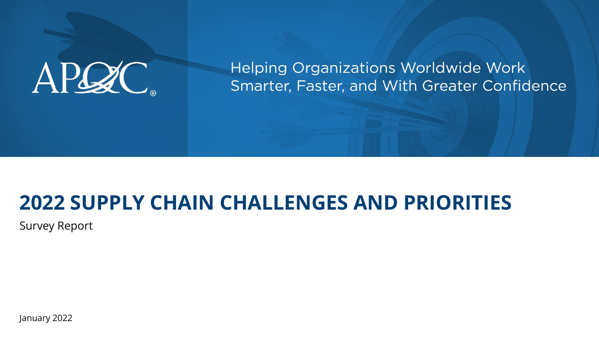# APCZC.

**Helping Organizations Worldwide Work** Smarter, Faster, and With Greater Confidence

#### **2022 SUPPLY CHAIN CHALLENGES AND PRIORITIES**

Survey Report

January 2022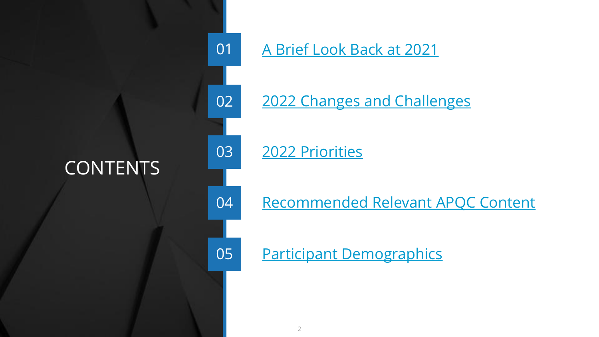#### **CONTENTS**



#### 01 [A Brief Look Back at 2021](#page-3-0)

02 [2022 Changes and Challenges](#page-16-0)

03 2022 Priorities

04 [Recommended Relevant APQC Content](#page-30-0)

05 [Participant Demographics](#page-35-0)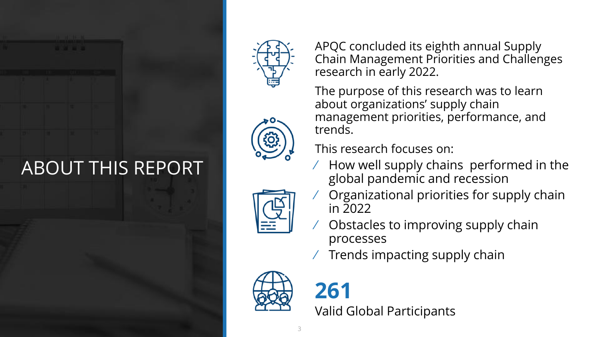#### ABOUT THIS REPORT







APQC concluded its eighth annual Supply Chain Management Priorities and Challenges research in early 2022.

The purpose of this research was to learn about organizations' supply chain management priorities, performance, and trends.

This research focuses on:

- $\angle$  How well supply chains performed in the global pandemic and recession
- ⁄ Organizational priorities for supply chain in 2022
- ⁄ Obstacles to improving supply chain processes
- ⁄ Trends impacting supply chain



**261** Valid Global Participants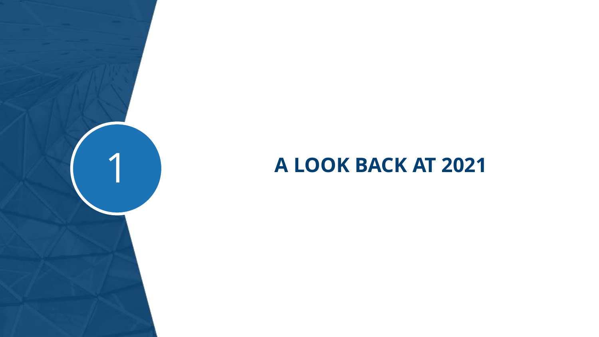## <span id="page-3-0"></span>**A LOOK BACK AT 2021**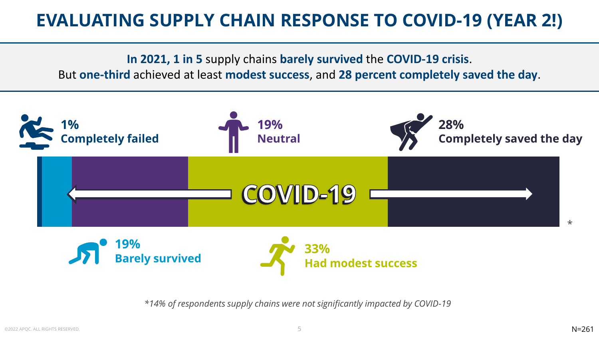#### **EVALUATING SUPPLY CHAIN RESPONSE TO COVID-19 (YEAR 2!)**

**In 2021, 1 in 5** supply chains **barely survived** the **COVID-19 crisis**.

But **one-third** achieved at least **modest success**, and **28 percent completely saved the day**.



*\*14% of respondents supply chains were not significantly impacted by COVID-19*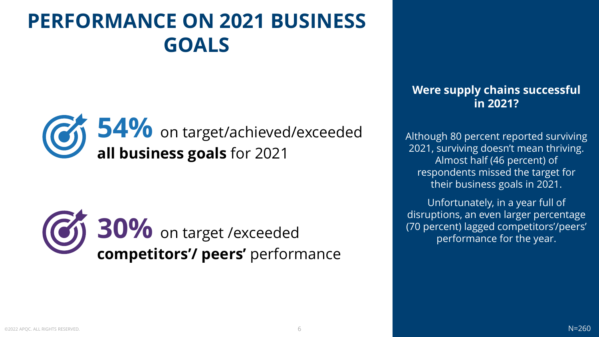## **PERFORMANCE ON 2021 BUSINESS GOALS**





#### **Were supply chains successful in 2021?**

Although 80 percent reported surviving 2021, surviving doesn't mean thriving. Almost half (46 percent) of respondents missed the target for their business goals in 2021.

Unfortunately, in a year full of disruptions, an even larger percentage (70 percent) lagged competitors'/peers' performance for the year.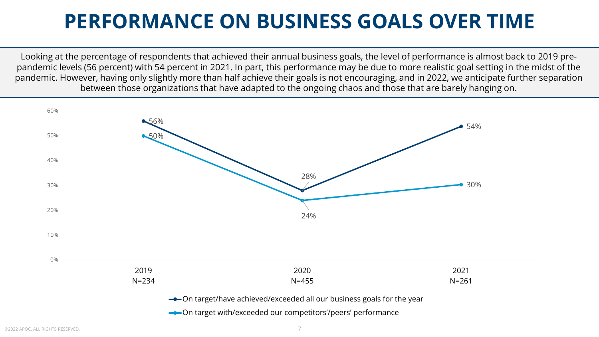#### **PERFORMANCE ON BUSINESS GOALS OVER TIME**

Looking at the percentage of respondents that achieved their annual business goals, the level of performance is almost back to 2019 prepandemic levels (56 percent) with 54 percent in 2021. In part, this performance may be due to more realistic goal setting in the midst of the pandemic. However, having only slightly more than half achieve their goals is not encouraging, and in 2022, we anticipate further separation between those organizations that have adapted to the ongoing chaos and those that are barely hanging on.

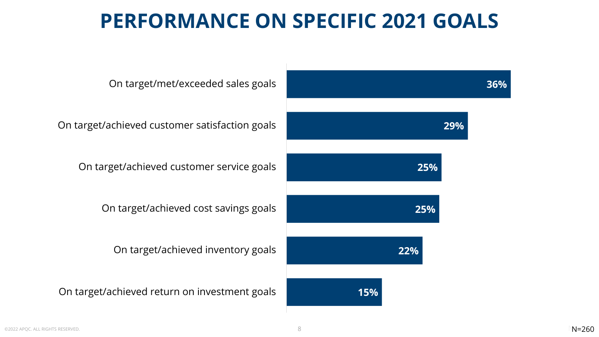#### **PERFORMANCE ON SPECIFIC 2021 GOALS**

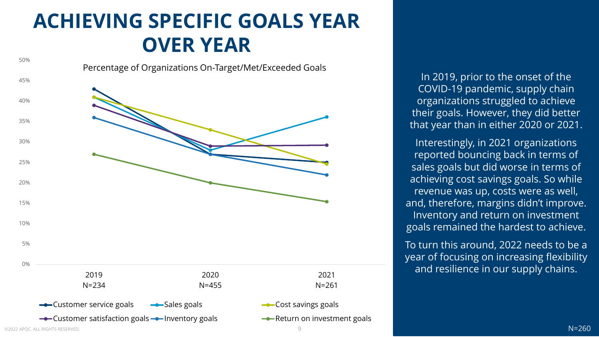#### **ACHIEVING SPECIFIC GOALS YEAR OVER YEAR**



In 2019, prior to the onset of the COVID-19 pandemic, supply chain organizations struggled to achieve their goals. However, they did better that year than in either 2020 or 2021.

Interestingly, in 2021 organizations reported bouncing back in terms of sales goals but did worse in terms of achieving cost savings goals. So while revenue was up, costs were as well, and, therefore, margins didn't improve. Inventory and return on investment goals remained the hardest to achieve.

To turn this around, 2022 needs to be a year of focusing on increasing flexibility and resilience in our supply chains.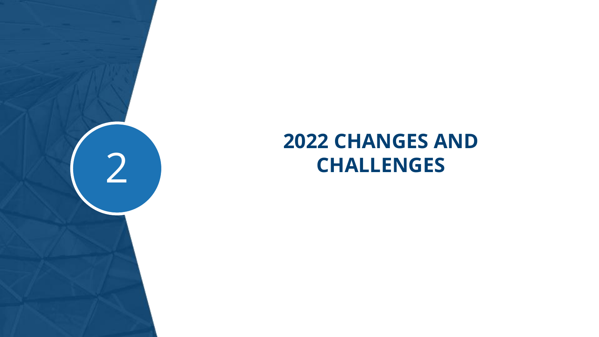

#### **2022 CHANGES AND**  2 **CHALLENGES**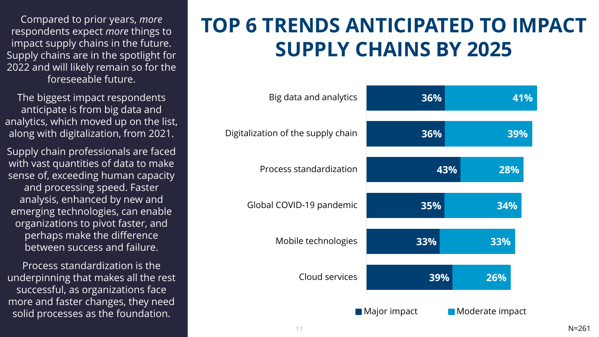Compared to prior years, *more* respondents expect *more* things to impact supply chains in the future. Supply chains are in the spotlight for 2022 and will likely remain so for the foreseeable future.

The biggest impact respondents anticipate is from big data and analytics, which moved up on the list, along with digitalization, from 2021.

Supply chain professionals are faced with vast quantities of data to make sense of, exceeding human capacity and processing speed. Faster analysis, enhanced by new and emerging technologies, can enable organizations to pivot faster, and perhaps make the difference between success and failure.

Process standardization is the underpinning that makes all the rest successful, as organizations face more and faster changes, they need solid processes as the foundation.

#### **TOP 6 TRENDS ANTICIPATED TO IMPACT SUPPLY CHAINS BY 2025**

| Big data and analytics             | 36%                 | 41%             |
|------------------------------------|---------------------|-----------------|
| Digitalization of the supply chain | 36%                 | 39%             |
| Process standardization            | 43%                 | 28%             |
| Global COVID-19 pandemic           | 35%                 | 34%             |
| Mobile technologies                | 33%                 | 33%             |
| Cloud services                     | 39%                 | 26%             |
|                                    | <b>Major impact</b> | Moderate impact |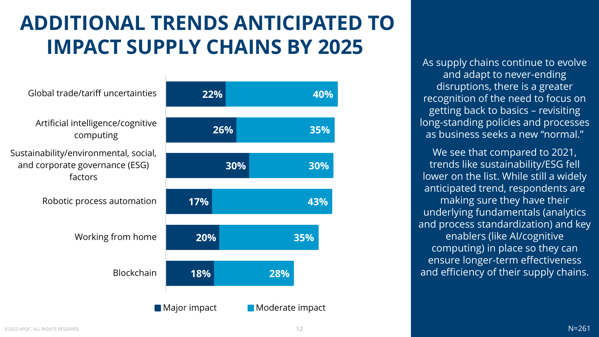## **ADDITIONAL TRENDS ANTICIPATED TO IMPACT SUPPLY CHAINS BY 2025**

| Global trade/tariff uncertainties                                                  | 22%                         |                 | 40% |
|------------------------------------------------------------------------------------|-----------------------------|-----------------|-----|
| Artificial intelligence/cognitive<br>computing                                     | 26%                         |                 | 35% |
| Sustainability/environmental, social,<br>and corporate governance (ESG)<br>factors |                             | 30%             | 30% |
| Robotic process automation                                                         | 17%                         |                 | 43% |
| Working from home                                                                  | 20%                         |                 | 35% |
| <b>Blockchain</b>                                                                  | 18%                         | 28%             |     |
|                                                                                    | $\blacksquare$ Major impact | Moderate impact |     |

As supply chains continue to evolve and adapt to never-ending disruptions, there is a greater recognition of the need to focus on getting back to basics – revisiting long-standing policies and processes as business seeks a new "normal."

We see that compared to 2021, trends like sustainability/ESG fell lower on the list. While still a widely anticipated trend, respondents are making sure they have their underlying fundamentals (analytics and process standardization) and key enablers (like AI/cognitive computing) in place so they can ensure longer-term effectiveness and efficiency of their supply chains.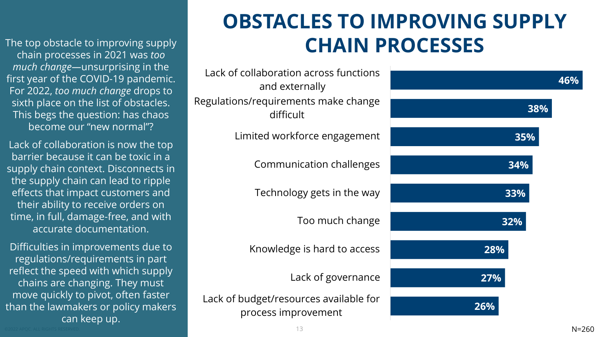The top obstacle to improving supply chain processes in 2021 was *too much change—*unsurprising in the first year of the COVID-19 pandemic. For 2022, *too much change* drops to sixth place on the list of obstacles. This begs the question: has chaos become our "new normal"?

Lack of collaboration is now the top barrier because it can be toxic in a supply chain context. Disconnects in the supply chain can lead to ripple effects that impact customers and their ability to receive orders on time, in full, damage-free, and with accurate documentation.

Difficulties in improvements due to regulations/requirements in part reflect the speed with which supply chains are changing. They must move quickly to pivot, often faster than the lawmakers or policy makers can keep up.

## **OBSTACLES TO IMPROVING SUPPLY CHAIN PROCESSES**

| Lack of collaboration across functions<br>and externally      | 46% |
|---------------------------------------------------------------|-----|
| Regulations/requirements make change<br>difficult             | 38% |
| Limited workforce engagement                                  | 35% |
| Communication challenges                                      | 34% |
| Technology gets in the way                                    | 33% |
| Too much change                                               | 32% |
| Knowledge is hard to access                                   | 28% |
| Lack of governance                                            | 27% |
| Lack of budget/resources available for<br>process improvement | 26% |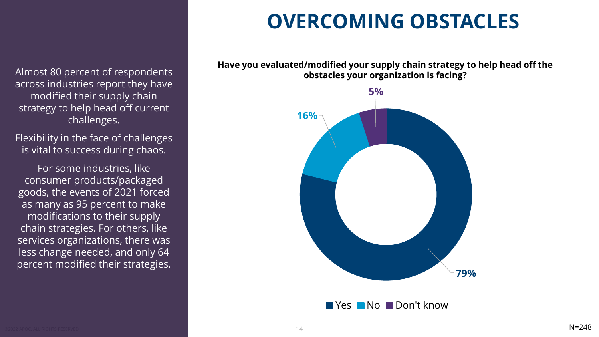Almost 80 percent of respondents across industries report they have modified their supply chain strategy to help head off current challenges.

Flexibility in the face of challenges is vital to success during chaos.

For some industries, like consumer products/packaged goods, the events of 2021 forced as many as 95 percent to make modifications to their supply chain strategies. For others, like services organizations, there was less change needed, and only 64 percent modified their strategies.

#### **OVERCOMING OBSTACLES**

**Have you evaluated/modified your supply chain strategy to help head off the obstacles your organization is facing?** 



**No Don't know**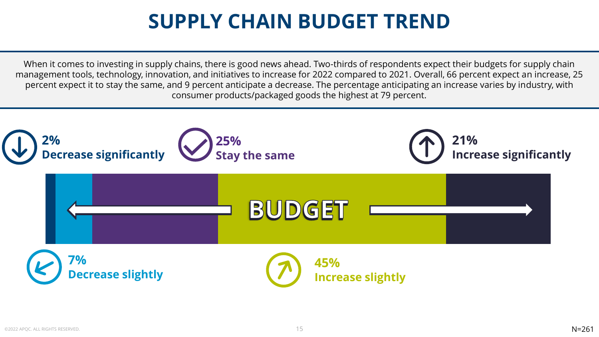#### **SUPPLY CHAIN BUDGET TREND**

When it comes to investing in supply chains, there is good news ahead. Two-thirds of respondents expect their budgets for supply chain management tools, technology, innovation, and initiatives to increase for 2022 compared to 2021. Overall, 66 percent expect an increase, 25 percent expect it to stay the same, and 9 percent anticipate a decrease. The percentage anticipating an increase varies by industry, with consumer products/packaged goods the highest at 79 percent.

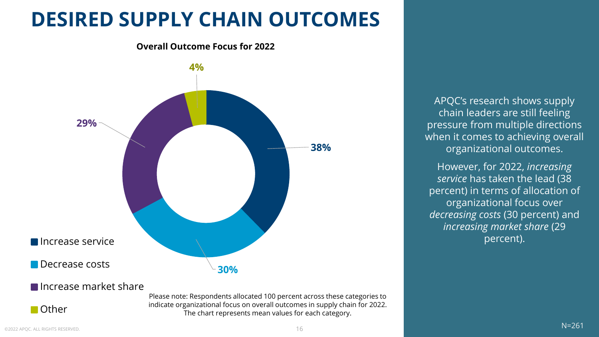#### **DESIRED SUPPLY CHAIN OUTCOMES**





APQC's research shows supply chain leaders are still feeling pressure from multiple directions when it comes to achieving overall organizational outcomes.

However, for 2022, *increasing service* has taken the lead (38 percent) in terms of allocation of organizational focus over *decreasing costs* (30 percent) and *increasing market share* (29 percent).

Increase market share

Please note: Respondents allocated 100 percent across these categories to indicate organizational focus on overall outcomes in supply chain for 2022. The chart represents mean values for each category.

■ Other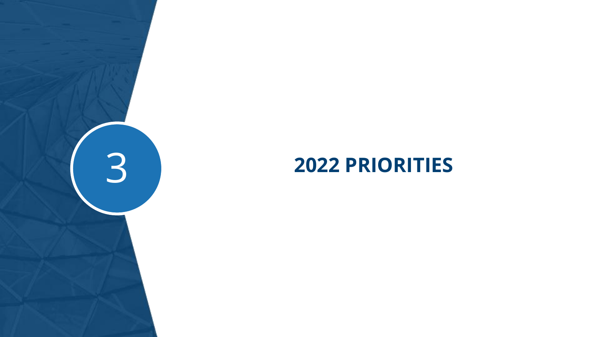<span id="page-16-0"></span>

# **2022 PRIORITIES**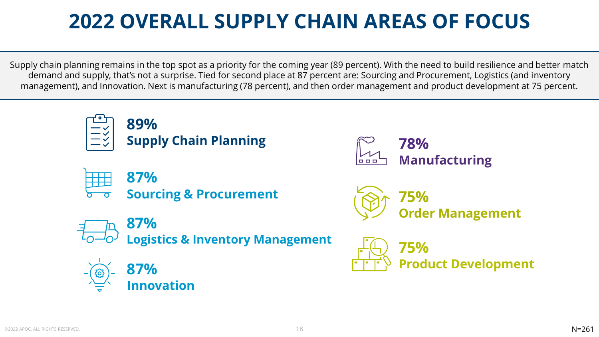## **2022 OVERALL SUPPLY CHAIN AREAS OF FOCUS**

Supply chain planning remains in the top spot as a priority for the coming year (89 percent). With the need to build resilience and better match demand and supply, that's not a surprise. Tied for second place at 87 percent are: Sourcing and Procurement, Logistics (and inventory management), and Innovation. Next is manufacturing (78 percent), and then order management and product development at 75 percent.

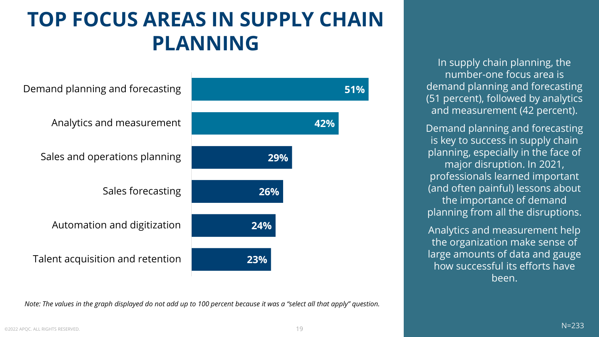#### **TOP FOCUS AREAS IN SUPPLY CHAIN PLANNING**



*Note: The values in the graph displayed do not add up to 100 percent because it was a "select all that apply" question.* 

In supply chain planning, the number-one focus area is demand planning and forecasting (51 percent), followed by analytics and measurement (42 percent).

Demand planning and forecasting is key to success in supply chain planning, especially in the face of major disruption. In 2021, professionals learned important (and often painful) lessons about the importance of demand planning from all the disruptions.

Analytics and measurement help the organization make sense of large amounts of data and gauge how successful its efforts have been.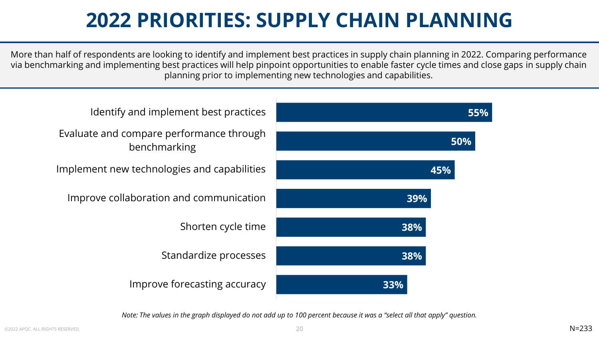#### **2022 PRIORITIES: SUPPLY CHAIN PLANNING**

More than half of respondents are looking to identify and implement best practices in supply chain planning in 2022. Comparing performance via benchmarking and implementing best practices will help pinpoint opportunities to enable faster cycle times and close gaps in supply chain planning prior to implementing new technologies and capabilities.

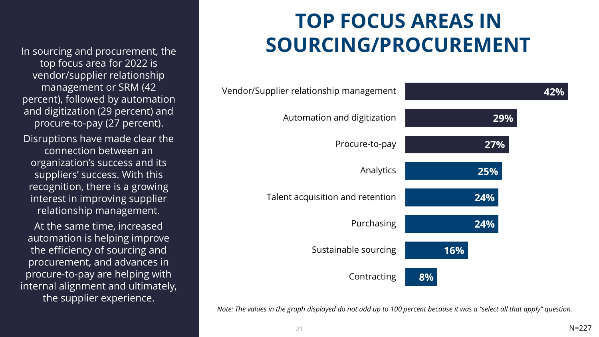In sourcing and procurement, the top focus area for 2022 is vendor/supplier relationship management or SRM (42 percent), followed by automation and digitization (29 percent) and procure-to-pay (27 percent). Disruptions have made clear the connection between an organization's success and its suppliers' success. With this recognition, there is a growing interest in improving supplier relationship management.

THIS IS ALL UPDATED At the same time, increased automation is helping improve the efficiency of sourcing and procurement, and advances in procure-to-pay are helping with internal alignment and ultimately, the supplier experience.

### **TOP FOCUS AREAS IN SOURCING/PROCUREMENT**

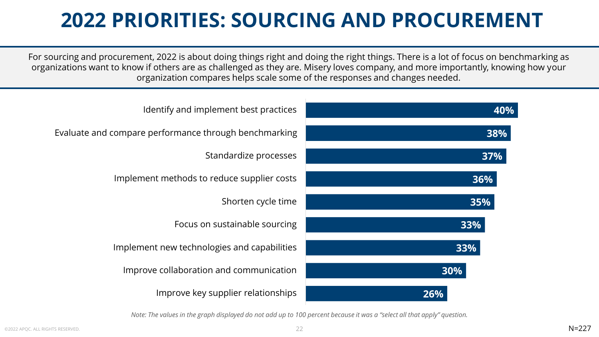## **2022 PRIORITIES: SOURCING AND PROCUREMENT**

For sourcing and procurement, 2022 is about doing things right and doing the right things. There is a lot of focus on benchmarking as organizations want to know if others are as challenged as they are. Misery loves company, and more importantly, knowing how your organization compares helps scale some of the responses and changes needed.

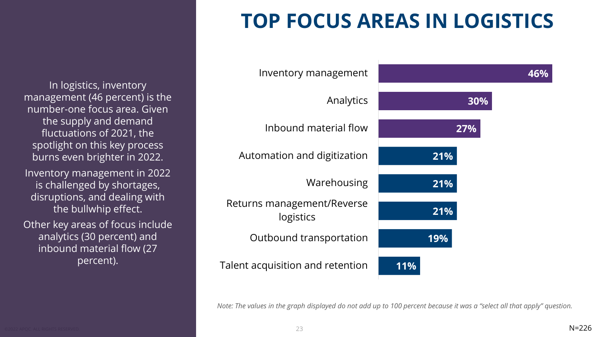#### **TOP FOCUS AREAS IN LOGISTICS**

In logistics, inventory management (46 percent) is the number-one focus area. Given the supply and demand fluctuations of 2021, the spotlight on this key process burns even brighter in 2022. Inventory management in 2022 is challenged by shortages, disruptions, and dealing with the bullwhip effect. Other key areas of focus include analytics (30 percent) and inbound material flow (27

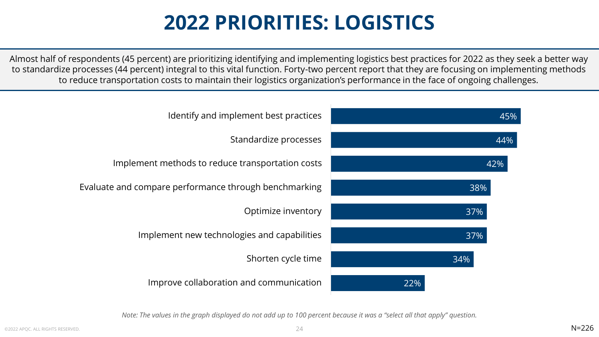#### **2022 PRIORITIES: LOGISTICS**

Almost half of respondents (45 percent) are prioritizing identifying and implementing logistics best practices for 2022 as they seek a better way to standardize processes (44 percent) integral to this vital function. Forty-two percent report that they are focusing on implementing methods to reduce transportation costs to maintain their logistics organization's performance in the face of ongoing challenges.

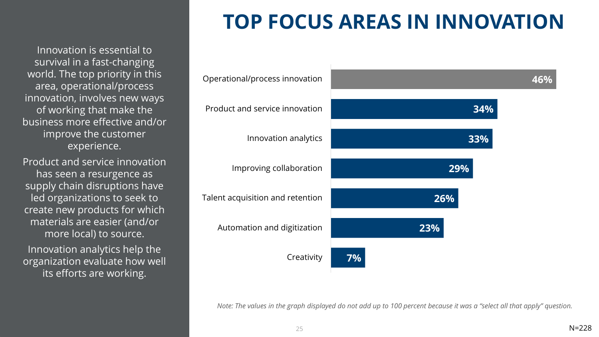Innovation is essential to survival in a fast-changing world. The top priority in this area, operational/process innovation, involves new ways of working that make the business more effective and/or improve the customer experience.

Product and service innovation has seen a resurgence as supply chain disruptions have led organizations to seek to create new products for which materials are easier (and/or more local) to source.

Innovation analytics help the organization evaluate how well its efforts are working.

## **TOP FOCUS AREAS IN INNOVATION**

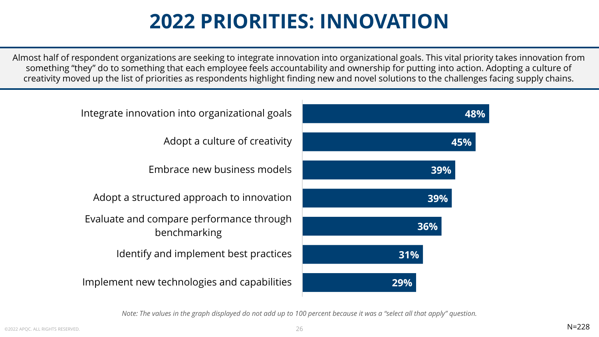#### **2022 PRIORITIES: INNOVATION**

Almost half of respondent organizations are seeking to integrate innovation into organizational goals. This vital priority takes innovation from something "they" do to something that each employee feels accountability and ownership for putting into action. Adopting a culture of creativity moved up the list of priorities as respondents highlight finding new and novel solutions to the challenges facing supply chains.

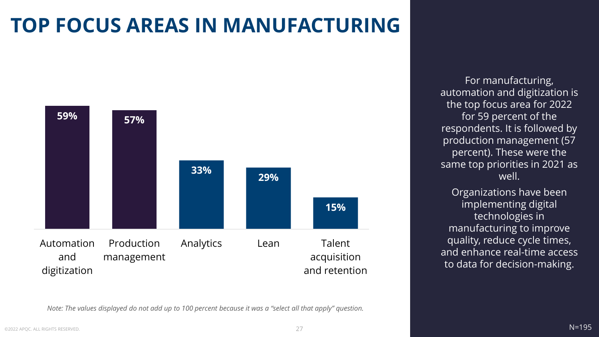## **TOP FOCUS AREAS IN MANUFACTURING**



For manufacturing, automation and digitization is the top focus area for 2022 for 59 percent of the respondents. It is followed by production management (57 percent). These were the same top priorities in 2021 as well.

Organizations have been implementing digital technologies in manufacturing to improve quality, reduce cycle times, and enhance real-time access to data for decision-making.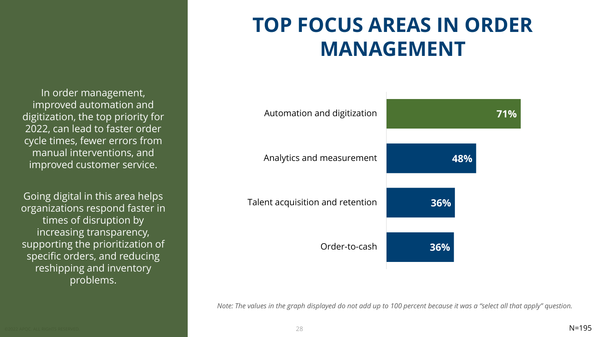In order management, improved automation and digitization, the top priority for 2022, can lead to faster order cycle times, fewer errors from manual interventions, and improved customer service.

Going digital in this area helps organizations respond faster in times of disruption by increasing transparency, supporting the prioritization of specific orders, and reducing reshipping and inventory problems.

#### **TOP FOCUS AREAS IN ORDER MANAGEMENT**

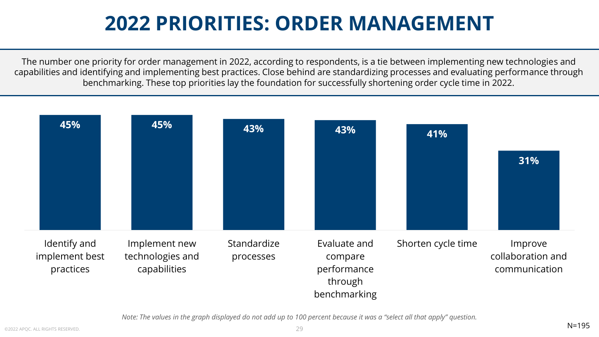#### **2022 PRIORITIES: ORDER MANAGEMENT**

The number one priority for order management in 2022, according to respondents, is a tie between implementing new technologies and capabilities and identifying and implementing best practices. Close behind are standardizing processes and evaluating performance through benchmarking. These top priorities lay the foundation for successfully shortening order cycle time in 2022.

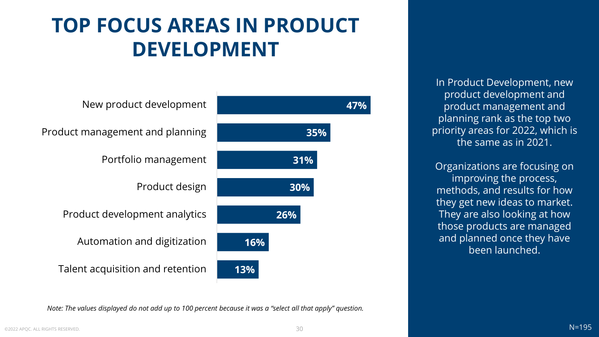#### **TOP FOCUS AREAS IN PRODUCT DEVELOPMENT**



In Product Development, new product development and product management and planning rank as the top two priority areas for 2022, which is the same as in 2021.

Organizations are focusing on improving the process, methods, and results for how they get new ideas to market. They are also looking at how those products are managed and planned once they have been launched.

*Note: The values displayed do not add up to 100 percent because it was a "select all that apply" question.* 

©2022 APQC. ALL RIGHTS RESERVED. 30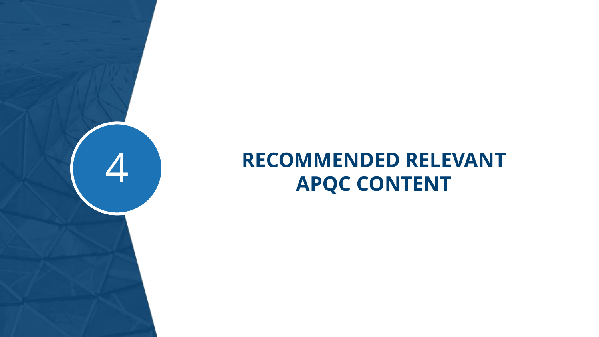# <span id="page-30-0"></span>**RECOMMENDED RELEVANT APQC CONTENT**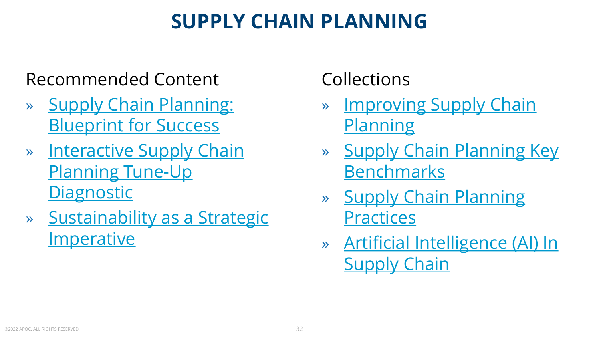#### **SUPPLY CHAIN PLANNING**

#### Recommended Content

- » [Supply Chain Planning:](https://www.apqc.org/resource-library/resource-listing/supply-chain-planning-blueprint-success)  Blueprint for Success
- » [Interactive Supply Chain](https://www.apqc.org/resource-library/resource-listing/interactive-supply-chain-planning-tune-diagnostic#:~:text=Interactive%20Supply%20Chain,Linkedin%0A%0A%20%20Twitter%0A%0A%20%20Email)  Planning Tune-Up **Diagnostic**
- » [Sustainability as a Strategic](https://www.apqc.org/resource-library/resource-listing/sustainability-strategic-imperative#:~:text=Sustainability%20as%20a,Linkedin%0A%0A%20%20Twitter%0A%0A%20%20Email)  **Imperative**

#### Collections

- » [Improving Supply Chain](https://www.apqc.org/resource-library/resource-collection/improving-supply-chain-planning)  **Planning**
- » [Supply Chain Planning Key](https://www.apqc.org/resource-library/resource-collection/key-supply-chain-planning-benchmarks)  Benchmarks
- » [Supply Chain Planning](https://www.apqc.org/resource-library/resource-collection/supply-chain-planning-practices)  **Practices**
- » [Artificial Intelligence \(AI\) In](https://www.apqc.org/resource-library/resource-collection/artificial-intelligence-ai-supply-chain) Supply Chain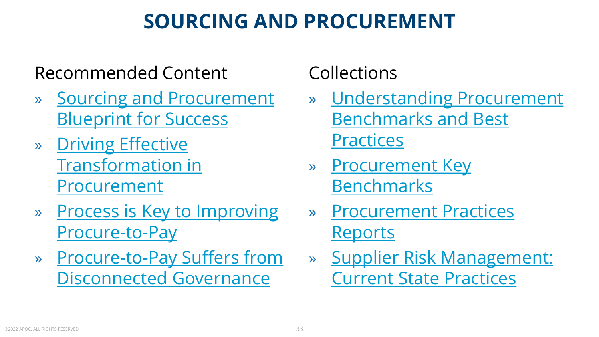#### **SOURCING AND PROCUREMENT**

#### Recommended Content

- » [Sourcing and Procurement](https://www.apqc.org/resource-library/resource-listing/sourcing-and-procurement-blueprint-success) Blueprint for Success
- » Driving Effective [Transformation in](https://www.apqc.org/resource-library/resource-listing/driving-effective-transformation-procurement#:~:text=Driving%20Effective%20Transformation,Linkedin%0A%0A%20%20Twitter%0A%0A%20%20Email) **Procurement**
- » [Process is Key to Improving](https://www.apqc.org/resource-library/resource-listing/process-key-improving-procure-pay) Procure-to-Pay
- » [Procure-to-Pay Suffers from](https://www.apqc.org/resource-library/resource-listing/procure-pay-suffers-disconnected-governance)  Disconnected Governance

#### Collections

- » [Understanding Procurement](https://www.apqc.org/resource-library/resource-collection/understanding-procurement-benchmarks-and-best-practices) Benchmarks and Best **Practices**
- » [Procurement Key](https://www.apqc.org/resource-library/resource-collection/procurement-key-benchmarks) Benchmarks
- » [Procurement Practices](https://www.apqc.org/resource-library/resource-collection/procurement-practices-reports)  Reports
- » [Supplier Risk Management:](https://www.apqc.org/resource-library/resource-collection/supplier-risk-management-current-state-practices) Current State Practices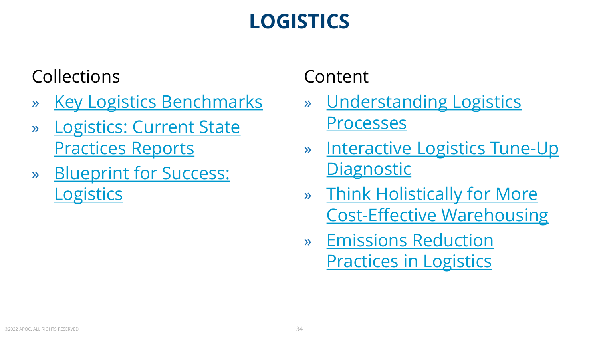## **LOGISTICS**

#### Collections

- » [Key Logistics Benchmarks](https://www.apqc.org/resource-library/resource-collection/key-logistics-benchmarks)
- » [Logistics: Current State](https://www.apqc.org/resource-library/resource-collection/logistics-current-state-practices-reports)  Practices Reports
- » [Blueprint for Success:](https://www.apqc.org/resource-library/resource-collection/blueprint-success-logistics)  **Logistics**

#### Content

- » [Understanding Logistics](https://www.apqc.org/resource-library/resource-listing/understanding-logistics-processes)  Processes
- » [Interactive Logistics Tune-Up](https://www.apqc.org/resource-library/resource-listing/interactive-logistics-tune-diagnostic) **Diagnostic**
- » Think Holistically for More [Cost-Effective Warehousing](https://www.apqc.org/resource-library/resource-listing/think-holistically-more-cost-effective-warehousing)
- » Emissions Reduction **[Practices in Logistics](https://www.apqc.org/resource-library/resource-listing/emissions-reduction-practices-logistics)**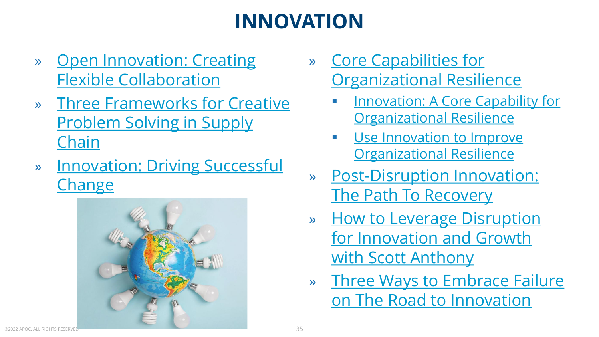## **INNOVATION**

- » [Open Innovation: Creating](https://www.apqc.org/resource-library/resource-listing/open-innovation-creating-flexible-collaboration) Flexible Collaboration
- » [Three Frameworks for Creative](https://www.apqc.org/resource-library/resource-listing/three-frameworks-creative-problem-solving-supply-chain)  Problem Solving in Supply Chain
- » [Innovation: Driving Successful](https://www.apqc.org/resource-library/resource-collection/innovation-driving-successful-change) **Change**



- » Core Capabilities for **[Organizational Resilience](https://www.apqc.org/resource-library/resource-collection/core-capabilities-organizational-resilience)** 
	- **[Innovation: A Core Capability for](https://www.apqc.org/resource-library/resource-listing/innovation-core-capability-organizational-resilience) Organizational Resilience**
	- **<u>• Use Innovation to Improve</u> [Organizational Resilience](https://www.apqc.org/resource-library/resource-listing/use-innovation-improve-organizational-resilience)**
- » [Post-Disruption Innovation:](https://www.apqc.org/resource-library/resource-listing/post-disruption-innovation-path-recovery#:~:text=Post-Disruption%20Innovation,Linkedin%0A%0A%20%20Twitter%0A%0A%20%20Email)  The Path To Recovery
- » How to Leverage Disruption [for Innovation and Growth](https://www.apqc.org/resource-library/resource-listing/how-leverage-disruption-innovation-and-growth-scott-anthony#:~:text=How%20to%20Leverage,Linkedin%0A%0A%20%20Twitter%0A%0A%20%20Email)  with Scott Anthony
- » [Three Ways to Embrace Failure](https://www.apqc.org/resource-library/resource-listing/three-ways-embrace-failure-road-innovation#:~:text=Three%20Ways%20to,Linkedin%0A%0A%20%20Twitter%0A%0A%20%20Email)  on The Road to Innovation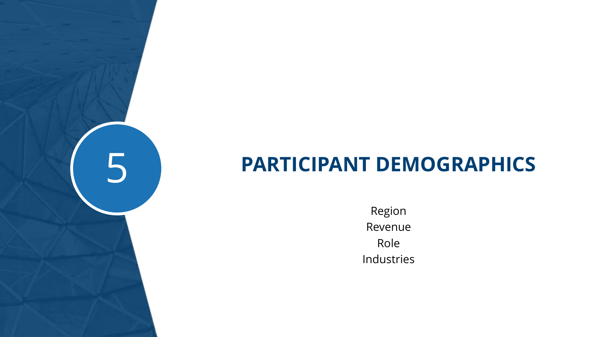#### **PARTICIPANT DEMOGRAPHICS**

<span id="page-35-0"></span>5

Region Revenue Role Industries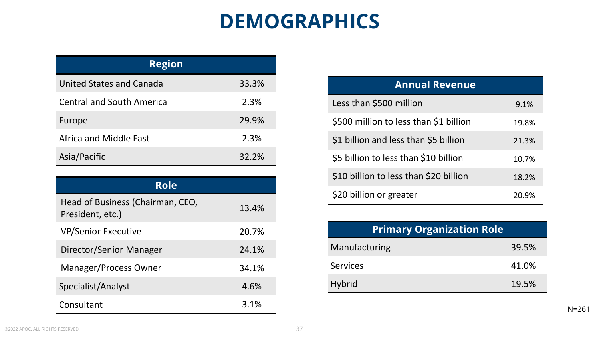#### **DEMOGRAPHICS**

| <b>Region</b>                    |       |
|----------------------------------|-------|
| United States and Canada         | 33.3% |
| <b>Central and South America</b> | 2.3%  |
| Europe                           | 29.9% |
| Africa and Middle East           | 2.3%  |
| Asia/Pacific                     | 32.2% |

| <b>Role</b>                                          |       |
|------------------------------------------------------|-------|
| Head of Business (Chairman, CEO,<br>President, etc.) | 13.4% |
| <b>VP/Senior Executive</b>                           | 20.7% |
| Director/Senior Manager                              | 24.1% |
| Manager/Process Owner                                | 34.1% |
| Specialist/Analyst                                   | 4.6%  |
| Consultant                                           | 3.1%  |

| <b>Annual Revenue</b>                  |       |
|----------------------------------------|-------|
| Less than \$500 million                | 9.1%  |
| \$500 million to less than \$1 billion | 19.8% |
| \$1 billion and less than \$5 billion  | 21.3% |
| \$5 billion to less than \$10 billion  | 10.7% |
| \$10 billion to less than \$20 billion | 18.2% |
| \$20 billion or greater                | 20.9% |

| <b>Primary Organization Role</b> |       |
|----------------------------------|-------|
| Manufacturing                    | 39.5% |
| <b>Services</b>                  | 41.0% |
| <b>Hybrid</b>                    | 19.5% |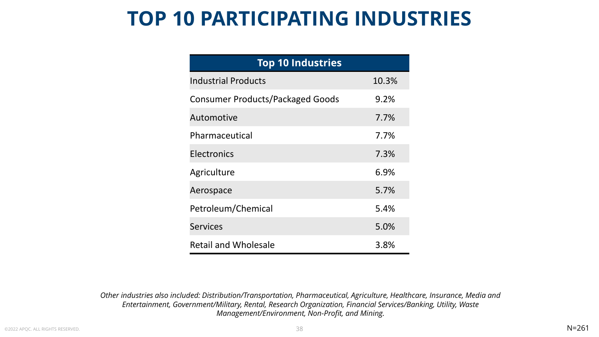#### **TOP 10 PARTICIPATING INDUSTRIES**

| <b>Top 10 Industries</b>                |       |
|-----------------------------------------|-------|
| <b>Industrial Products</b>              | 10.3% |
| <b>Consumer Products/Packaged Goods</b> | 9.2%  |
| Automotive                              | 7.7%  |
| Pharmaceutical                          | 7.7%  |
| Electronics                             | 7.3%  |
| Agriculture                             | 6.9%  |
| Aerospace                               | 5.7%  |
| Petroleum/Chemical                      | 5.4%  |
| <b>Services</b>                         | 5.0%  |
| <b>Retail and Wholesale</b>             | 3.8%  |

*Other industries also included: Distribution/Transportation, Pharmaceutical, Agriculture, Healthcare, Insurance, Media and Entertainment, Government/Military, Rental, Research Organization, Financial Services/Banking, Utility, Waste Management/Environment, Non-Profit, and Mining.*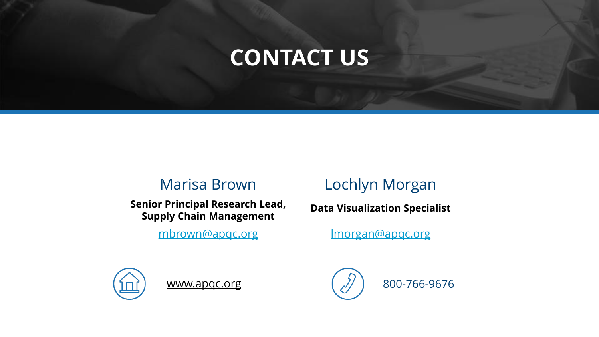## **CONTACT US**

#### Marisa Brown

**Senior Principal Research Lead, Supply Chain Management** 

[mbrown@apqc.org](mailto:mbrown@apqc.org)

#### Lochlyn Morgan

**Data Visualization Specialist**

[lmorgan@apqc.org](mailto:lmorgan@apqc.org)